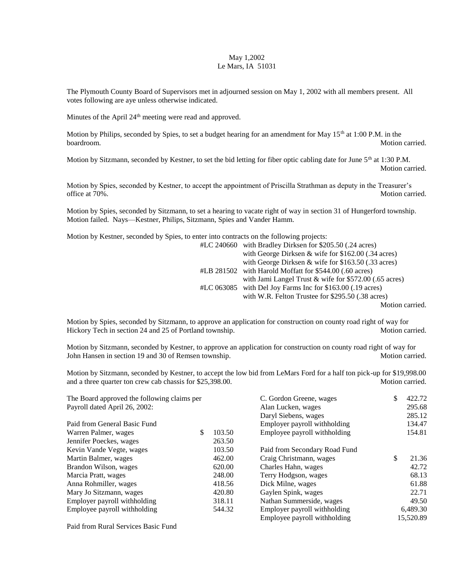## May 1,2002 Le Mars, IA 51031

The Plymouth County Board of Supervisors met in adjourned session on May 1, 2002 with all members present. All votes following are aye unless otherwise indicated.

Minutes of the April 24<sup>th</sup> meeting were read and approved.

Motion by Philips, seconded by Spies, to set a budget hearing for an amendment for May 15<sup>th</sup> at 1:00 P.M. in the boardroom. Motion carried.

Motion by Sitzmann, seconded by Kestner, to set the bid letting for fiber optic cabling date for June  $5<sup>th</sup>$  at 1:30 P.M. Motion carried.

Motion by Spies, seconded by Kestner, to accept the appointment of Priscilla Strathman as deputy in the Treasurer's office at 70%. Motion carried.

Motion by Spies, seconded by Sitzmann, to set a hearing to vacate right of way in section 31 of Hungerford township. Motion failed. Nays—Kestner, Philips, Sitzmann, Spies and Vander Hamm.

Motion by Kestner, seconded by Spies, to enter into contracts on the following projects:

| $\#LC\ 240660$ with Bradley Dirksen for \$205.50 (.24 acres)  |
|---------------------------------------------------------------|
| with George Dirksen & wife for $$162.00$ (.34 acres)          |
| with George Dirksen & wife for $$163.50$ (.33 acres)          |
| #LB 281502 with Harold Moffatt for \$544.00 (.60 acres)       |
| with Jami Langel Trust $\&$ wife for \$572.00 (.65 acres)     |
| $\#LC$ 063085 with Del Joy Farms Inc for \$163.00 (.19 acres) |
| with W.R. Felton Trustee for \$295.50 (.38 acres)             |
| $M$ otion again                                               |

Motion carried.

Motion by Spies, seconded by Sitzmann, to approve an application for construction on county road right of way for Hickory Tech in section 24 and 25 of Portland township. Motion carried. Motion carried.

Motion by Sitzmann, seconded by Kestner, to approve an application for construction on county road right of way for John Hansen in section 19 and 30 of Remsen township. Motion carried. Motion carried.

Motion by Sitzmann, seconded by Kestner, to accept the low bid from LeMars Ford for a half ton pick-up for \$19,998.00 and a three quarter ton crew cab chassis for \$25,398.00. Motion carried.

| The Board approved the following claims per |        |                               | \$                      | 422.72    |
|---------------------------------------------|--------|-------------------------------|-------------------------|-----------|
| Payroll dated April 26, 2002:               |        | Alan Lucken, wages            |                         | 295.68    |
|                                             |        | Daryl Siebens, wages          |                         | 285.12    |
|                                             |        | Employer payroll withholding  |                         | 134.47    |
| \$                                          | 103.50 | Employee payroll withholding  |                         | 154.81    |
|                                             | 263.50 |                               |                         |           |
|                                             | 103.50 | Paid from Secondary Road Fund |                         |           |
|                                             | 462.00 | Craig Christmann, wages       | \$                      | 21.36     |
|                                             | 620.00 | Charles Hahn, wages           |                         | 42.72     |
|                                             | 248.00 | Terry Hodgson, wages          |                         | 68.13     |
|                                             | 418.56 | Dick Milne, wages             |                         | 61.88     |
|                                             | 420.80 | Gaylen Spink, wages           |                         | 22.71     |
|                                             | 318.11 | Nathan Summerside, wages      |                         | 49.50     |
|                                             | 544.32 | Employer payroll withholding  |                         | 6,489.30  |
|                                             |        | Employee payroll withholding  |                         | 15,520.89 |
|                                             |        |                               | C. Gordon Greene, wages |           |

Paid from Rural Services Basic Fund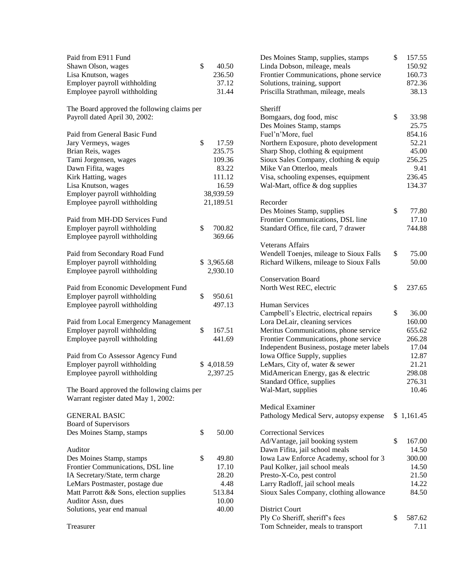| Paid from E911 Fund                                           |              | Des Moines Star         |
|---------------------------------------------------------------|--------------|-------------------------|
| Shawn Olson, wages                                            | \$<br>40.50  | Linda Dobson, n         |
| Lisa Knutson, wages                                           | 236.50       | <b>Frontier Commu</b>   |
| Employer payroll withholding                                  | 37.12        | Solutions, trainin      |
| Employee payroll withholding                                  | 31.44        | Priscilla Strathm       |
| The Board approved the following claims per                   |              | Sheriff                 |
| Payroll dated April 30, 2002:                                 |              | Bomgaars, dog f         |
|                                                               |              | Des Moines Star         |
| Paid from General Basic Fund                                  |              | Fuel'n'More, fue        |
| Jary Vermeys, wages                                           | \$<br>17.59  | Northern Exposu         |
| Brian Reis, wages                                             | 235.75       | Sharp Shop, clot        |
| Tami Jorgensen, wages                                         | 109.36       | Sioux Sales Con         |
| Dawn Fifita, wages                                            | 83.22        | Mike Van Otterl         |
| Kirk Hatting, wages                                           | 111.12       | Visa, schooling         |
| Lisa Knutson, wages                                           | 16.59        | Wal-Mart, office        |
| Employer payroll withholding                                  | 38,939.59    |                         |
| Employee payroll withholding                                  | 21,189.51    | Recorder                |
|                                                               |              | Des Moines Star         |
| Paid from MH-DD Services Fund                                 |              | <b>Frontier Commu</b>   |
| Employer payroll withholding                                  | \$<br>700.82 | Standard Office,        |
| Employee payroll withholding                                  | 369.66       |                         |
|                                                               |              | <b>Veterans Affairs</b> |
| Paid from Secondary Road Fund                                 |              | <b>Wendell Toenjes</b>  |
| Employer payroll withholding                                  | \$3,965.68   | <b>Richard Wilkens</b>  |
| Employee payroll withholding                                  | 2,930.10     |                         |
|                                                               |              | Conservation Bo         |
| Paid from Economic Development Fund                           |              | North West REC          |
| Employer payroll withholding                                  | \$<br>950.61 |                         |
| Employee payroll withholding                                  | 497.13       | <b>Human Services</b>   |
|                                                               |              | Campbell's Elec         |
| Paid from Local Emergency Management                          |              | Lora DeLair, cle        |
| Employer payroll withholding                                  | \$<br>167.51 | Meritus Commu           |
| Employee payroll withholding                                  | 441.69       | <b>Frontier Commu</b>   |
|                                                               |              | <b>Independent Bus</b>  |
| Paid from Co Assessor Agency Fund                             |              | Iowa Office Sup         |
| Employer payroll withholding                                  | \$4,018.59   | LeMars, City of,        |
| Employee payroll withholding                                  | 2,397.25     | MidAmerican E           |
|                                                               |              | Standard Office,        |
| The Board approved the following claims per                   |              | Wal-Mart, suppl         |
| Warrant register dated May 1, 2002:                           |              |                         |
|                                                               |              | <b>Medical Examin</b>   |
| <b>GENERAL BASIC</b>                                          |              | Pathology Medio         |
| Board of Supervisors                                          |              |                         |
| Des Moines Stamp, stamps                                      | \$<br>50.00  | Correctional Ser        |
|                                                               |              | Ad/Vantage, jail        |
| Auditor                                                       |              | Dawn Fifita, jail       |
|                                                               | \$<br>49.80  | <b>Iowa Law Enfor</b>   |
| Des Moines Stamp, stamps<br>Frontier Communications, DSL line | 17.10        |                         |
|                                                               |              | Paul Kolker, jail       |
| IA Secretary/State, term charge                               | 28.20        | Presto-X-Co, pe         |
| LeMars Postmaster, postage due                                | 4.48         | Larry Radloff, ja       |
| Matt Parrott & & Sons, election supplies                      | 513.84       | Sioux Sales Con         |
| Auditor Assn, dues                                            | 10.00        |                         |
| Solutions, year end manual                                    | 40.00        | <b>District Court</b>   |
|                                                               |              | Ply Co Sheriff, s       |
| Treasurer                                                     |              | Tom Schneider,          |

| Des Moines Stamp, supplies, stamps<br>Linda Dobson, mileage, meals<br>Frontier Communications, phone service<br>Solutions, training, support | \$<br>157.55<br>150.92<br>160.73<br>872.36 |
|----------------------------------------------------------------------------------------------------------------------------------------------|--------------------------------------------|
| Priscilla Strathman, mileage, meals                                                                                                          | 38.13                                      |
| Sheriff<br>Bomgaars, dog food, misc<br>Des Moines Stamp, stamps                                                                              | \$<br>33.98<br>25.75                       |
| Fuel'n'More, fuel                                                                                                                            | 854.16                                     |
| Northern Exposure, photo development                                                                                                         | 52.21                                      |
| Sharp Shop, clothing & equipment                                                                                                             | 45.00                                      |
| Sioux Sales Company, clothing & equip                                                                                                        | 256.25                                     |
| Mike Van Otterloo, meals                                                                                                                     | 9.41                                       |
| Visa, schooling expenses, equipment                                                                                                          | 236.45                                     |
| Wal-Mart, office & dog supplies                                                                                                              | 134.37                                     |
| Recorder<br>Des Moines Stamp, supplies                                                                                                       | \$<br>77.80                                |
| Frontier Communications, DSL line                                                                                                            | 17.10                                      |
| Standard Office, file card, 7 drawer                                                                                                         | 744.88                                     |
| <b>Veterans Affairs</b>                                                                                                                      |                                            |
| Wendell Toenjes, mileage to Sioux Falls                                                                                                      | \$<br>75.00                                |
| Richard Wilkens, mileage to Sioux Falls                                                                                                      | 50.00                                      |
|                                                                                                                                              |                                            |
| <b>Conservation Board</b><br>North West REC, electric                                                                                        | \$<br>237.65                               |
| <b>Human Services</b>                                                                                                                        |                                            |
| Campbell's Electric, electrical repairs                                                                                                      | \$<br>36.00                                |
| Lora DeLair, cleaning services                                                                                                               | 160.00                                     |
| Meritus Communications, phone service                                                                                                        | 655.62                                     |
| Frontier Communications, phone service                                                                                                       | 266.28                                     |
| Independent Business, postage meter labels                                                                                                   | 17.04                                      |
| Iowa Office Supply, supplies                                                                                                                 | 12.87                                      |
| LeMars, City of, water & sewer                                                                                                               | 21.21                                      |
| MidAmerican Energy, gas & electric                                                                                                           | 298.08                                     |
| Standard Office, supplies                                                                                                                    | 276.31                                     |
| Wal-Mart, supplies                                                                                                                           | 10.46                                      |
| <b>Medical Examiner</b>                                                                                                                      |                                            |
| Pathology Medical Serv, autopsy expense                                                                                                      | \$1,161.45                                 |
| <b>Correctional Services</b>                                                                                                                 |                                            |
| Ad/Vantage, jail booking system                                                                                                              | \$<br>167.00                               |
| Dawn Fifita, jail school meals                                                                                                               | 14.50                                      |
| Iowa Law Enforce Academy, school for 3                                                                                                       | 300.00                                     |
| Paul Kolker, jail school meals                                                                                                               | 14.50                                      |
| Presto-X-Co, pest control                                                                                                                    | 21.50                                      |
| Larry Radloff, jail school meals                                                                                                             | 14.22                                      |
| Sioux Sales Company, clothing allowance                                                                                                      | 84.50                                      |
| <b>District Court</b><br>Ply Co Sheriff, sheriff's fees                                                                                      | \$<br>587.62                               |
| Tom Schneider, meals to transport                                                                                                            | 7.11                                       |
|                                                                                                                                              |                                            |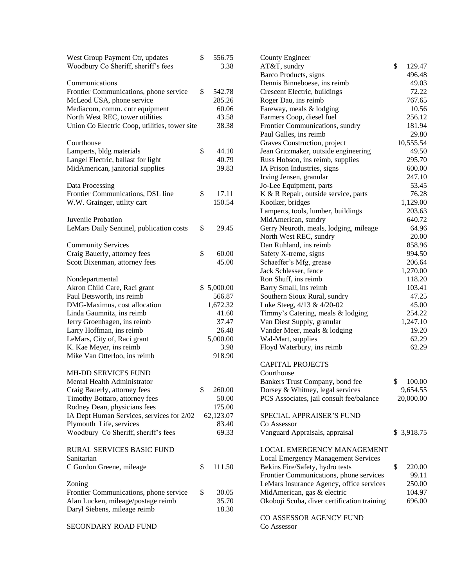| West Group Payment Ctr, updates               | \$<br>556.75 | <b>County Engineer</b>                      |
|-----------------------------------------------|--------------|---------------------------------------------|
| Woodbury Co Sheriff, sheriff's fees           | 3.38         | AT&T, sundry                                |
|                                               |              | Barco Products, signs                       |
| Communications                                |              | Dennis Binneboese, ins reimb                |
| Frontier Communications, phone service        | \$<br>542.78 | Crescent Electric, buildings                |
| McLeod USA, phone service                     | 285.26       | Roger Dau, ins reimb                        |
| Mediacom, comm. cntr equipment                | 60.06        | Fareway, meals & lodging                    |
| North West REC, tower utilities               | 43.58        | Farmers Coop, diesel fuel                   |
| Union Co Electric Coop, utilities, tower site | 38.38        | Frontier Communications, sundry             |
|                                               |              | Paul Galles, ins reimb                      |
| Courthouse                                    |              | Graves Construction, project                |
| Lamperts, bldg materials                      | \$<br>44.10  | Jean Gritzmaker, outside engineering        |
| Langel Electric, ballast for light            | 40.79        | Russ Hobson, ins reimb, supplies            |
| MidAmerican, janitorial supplies              | 39.83        | IA Prison Industries, signs                 |
|                                               |              | Irving Jensen, granular                     |
| Data Processing                               |              | Jo-Lee Equipment, parts                     |
| Frontier Communications, DSL line             | \$<br>17.11  | K & R Repair, outside service, parts        |
| W.W. Grainger, utility cart                   | 150.54       | Kooiker, bridges                            |
|                                               |              | Lamperts, tools, lumber, buildings          |
|                                               |              |                                             |
| Juvenile Probation                            |              | MidAmerican, sundry                         |
| LeMars Daily Sentinel, publication costs      | \$<br>29.45  | Gerry Neuroth, meals, lodging, mileage      |
|                                               |              | North West REC, sundry                      |
| <b>Community Services</b>                     |              | Dan Ruhland, ins reimb                      |
| Craig Bauerly, attorney fees                  | \$<br>60.00  | Safety X-treme, signs                       |
| Scott Bixenman, attorney fees                 | 45.00        | Schaeffer's Mfg, grease                     |
|                                               |              | Jack Schlesser, fence                       |
| Nondepartmental                               |              | Ron Shuff, ins reimb                        |
| Akron Child Care, Raci grant                  | \$5,000.00   | Barry Small, ins reimb                      |
| Paul Betsworth, ins reimb                     | 566.87       | Southern Sioux Rural, sundry                |
| DMG-Maximus, cost allocation                  | 1,672.32     | Luke Steeg, 4/13 & 4/20-02                  |
| Linda Gaumnitz, ins reimb                     | 41.60        | Timmy's Catering, meals & lodging           |
| Jerry Groenhagen, ins reimb                   | 37.47        | Van Diest Supply, granular                  |
| Larry Hoffman, ins reimb                      | 26.48        | Vander Meer, meals & lodging                |
| LeMars, City of, Raci grant                   | 5,000.00     | Wal-Mart, supplies                          |
| K. Kae Meyer, ins reimb                       | 3.98         | Floyd Waterbury, ins reimb                  |
| Mike Van Otterloo, ins reimb                  | 918.90       |                                             |
|                                               |              | <b>CAPITAL PROJECTS</b>                     |
| MH-DD SERVICES FUND                           |              | Courthouse                                  |
| Mental Health Administrator                   |              | Bankers Trust Company, bond fee             |
| Craig Bauerly, attorney fees                  | \$<br>260.00 | Dorsey & Whitney, legal services            |
| Timothy Bottaro, attorney fees                | 50.00        | PCS Associates, jail consult fee/balance    |
| Rodney Dean, physicians fees                  | 175.00       |                                             |
| IA Dept Human Services, services for 2/02     | 62,123.07    | <b>SPECIAL APPRAISER'S FUND</b>             |
| Plymouth Life, services                       | 83.40        | Co Assessor                                 |
| Woodbury Co Sheriff, sheriff's fees           | 69.33        | Vanguard Appraisals, appraisal              |
|                                               |              |                                             |
| RURAL SERVICES BASIC FUND                     |              | LOCAL EMERGENCY MANAGEMENT                  |
| Sanitarian                                    |              | <b>Local Emergency Management Services</b>  |
| C Gordon Greene, mileage                      | \$<br>111.50 | Bekins Fire/Safety, hydro tests             |
|                                               |              | Frontier Communications, phone services     |
| Zoning                                        |              | LeMars Insurance Agency, office services    |
| Frontier Communications, phone service        | \$<br>30.05  | MidAmerican, gas & electric                 |
| Alan Lucken, mileage/postage reimb            | 35.70        | Okoboji Scuba, diver certification training |
|                                               | 18.30        |                                             |
| Daryl Siebens, mileage reimb                  |              | CO ASSESSOR AGENCY FUND                     |
| SECONDARY ROAD FUND                           |              | Co Assessor                                 |
|                                               |              |                                             |

 $$129.47$ 496.48 49.03 72.22 767.65  $10.56$  $256.12$ 181.94 29.80 10,555.54 49.50 295.70  $600.00$  $247.10$ 53.45  $76.28$ 1,129.00 203.63 640.72 64.96  $20.00$ 858.96 994.50 206.64  $1,270.00$ 118.20 103.41 47.25 45.00 Timmy's Catering, meals & lodging 254.22 1,247.10  $19.20$ 62.29 62.29

 $$ 100.00$ 9,654.55  $20,000.00$ 

 $$3,918.75$ 

 $$220.00$ Frontier Communications, phone services 99.11  $250.00$ 104.97 696.00